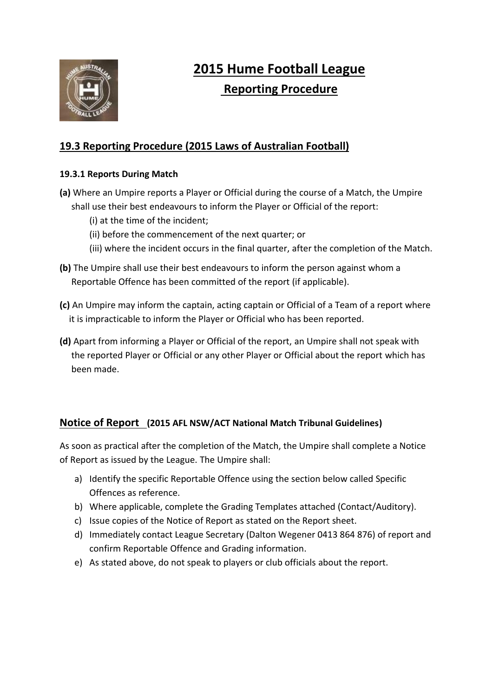

# **2015 Hume Football League Reporting Procedure**

### **19.3 Reporting Procedure (2015 Laws of Australian Football)**

#### **19.3.1 Reports During Match**

- **(a)** Where an Umpire reports a Player or Official during the course of a Match, the Umpire shall use their best endeavours to inform the Player or Official of the report:
	- (i) at the time of the incident;
	- (ii) before the commencement of the next quarter; or
	- (iii) where the incident occurs in the final quarter, after the completion of the Match.
- **(b)** The Umpire shall use their best endeavours to inform the person against whom a Reportable Offence has been committed of the report (if applicable).
- **(c)** An Umpire may inform the captain, acting captain or Official of a Team of a report where it is impracticable to inform the Player or Official who has been reported.
- **(d)** Apart from informing a Player or Official of the report, an Umpire shall not speak with the reported Player or Official or any other Player or Official about the report which has been made.

### **Notice of Report (2015 AFL NSW/ACT National Match Tribunal Guidelines)**

As soon as practical after the completion of the Match, the Umpire shall complete a Notice of Report as issued by the League. The Umpire shall:

- a) Identify the specific Reportable Offence using the section below called Specific Offences as reference.
- b) Where applicable, complete the Grading Templates attached (Contact/Auditory).
- c) Issue copies of the Notice of Report as stated on the Report sheet.
- d) Immediately contact League Secretary (Dalton Wegener 0413 864 876) of report and confirm Reportable Offence and Grading information.
- e) As stated above, do not speak to players or club officials about the report.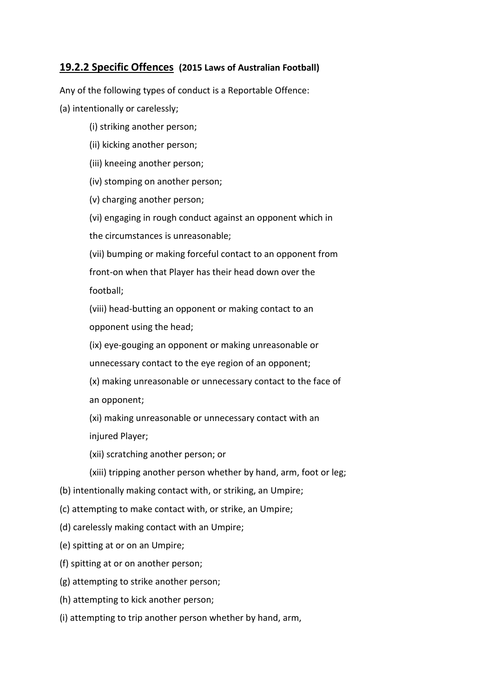#### **19.2.2 Specific Offences (2015 Laws of Australian Football)**

Any of the following types of conduct is a Reportable Offence:

(a) intentionally or carelessly;

- (i) striking another person;
- (ii) kicking another person;
- (iii) kneeing another person;
- (iv) stomping on another person;

(v) charging another person;

(vi) engaging in rough conduct against an opponent which in the circumstances is unreasonable;

(vii) bumping or making forceful contact to an opponent from front-on when that Player has their head down over the football;

(viii) head-butting an opponent or making contact to an opponent using the head;

(ix) eye-gouging an opponent or making unreasonable or

unnecessary contact to the eye region of an opponent;

(x) making unreasonable or unnecessary contact to the face of an opponent;

(xi) making unreasonable or unnecessary contact with an

injured Player;

(xii) scratching another person; or

(xiii) tripping another person whether by hand, arm, foot or leg;

(b) intentionally making contact with, or striking, an Umpire;

(c) attempting to make contact with, or strike, an Umpire;

(d) carelessly making contact with an Umpire;

(e) spitting at or on an Umpire;

- (f) spitting at or on another person;
- (g) attempting to strike another person;
- (h) attempting to kick another person;
- (i) attempting to trip another person whether by hand, arm,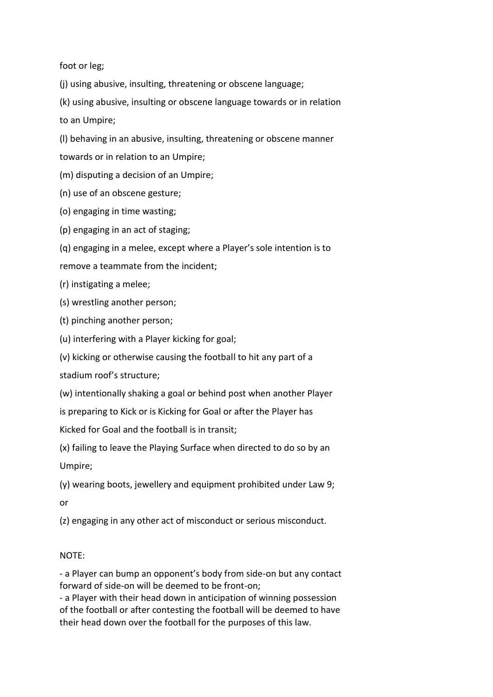foot or leg;

- (j) using abusive, insulting, threatening or obscene language;
- (k) using abusive, insulting or obscene language towards or in relation

to an Umpire;

- (l) behaving in an abusive, insulting, threatening or obscene manner
- towards or in relation to an Umpire;
- (m) disputing a decision of an Umpire;
- (n) use of an obscene gesture;
- (o) engaging in time wasting;
- (p) engaging in an act of staging;
- (q) engaging in a melee, except where a Player's sole intention is to
- remove a teammate from the incident;
- (r) instigating a melee;
- (s) wrestling another person;
- (t) pinching another person;
- (u) interfering with a Player kicking for goal;
- (v) kicking or otherwise causing the football to hit any part of a
- stadium roof's structure;
- (w) intentionally shaking a goal or behind post when another Player
- is preparing to Kick or is Kicking for Goal or after the Player has
- Kicked for Goal and the football is in transit;
- (x) failing to leave the Playing Surface when directed to do so by an Umpire;
- (y) wearing boots, jewellery and equipment prohibited under Law 9;
- or
- (z) engaging in any other act of misconduct or serious misconduct.

#### NOTE:

- a Player can bump an opponent's body from side-on but any contact forward of side-on will be deemed to be front-on;

- a Player with their head down in anticipation of winning possession of the football or after contesting the football will be deemed to have their head down over the football for the purposes of this law.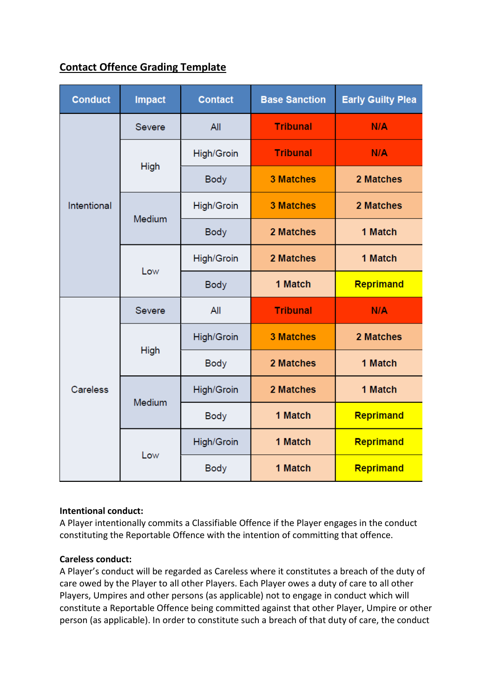### **Contact Offence Grading Template**

| <b>Conduct</b> | <b>Impact</b> | <b>Contact</b> | <b>Base Sanction</b> | <b>Early Guilty Plea</b> |  |
|----------------|---------------|----------------|----------------------|--------------------------|--|
| Intentional    | <b>Severe</b> | All            | <b>Tribunal</b>      | N/A                      |  |
|                | High          | High/Groin     | <b>Tribunal</b>      | N/A                      |  |
|                |               | <b>Body</b>    | <b>3 Matches</b>     | 2 Matches                |  |
|                | <b>Medium</b> | High/Groin     | <b>3 Matches</b>     | 2 Matches                |  |
|                |               | <b>Body</b>    | 2 Matches            | 1 Match                  |  |
|                | Low           | High/Groin     | 2 Matches            | 1 Match                  |  |
|                |               | <b>Body</b>    | 1 Match              | Reprimand                |  |
| Careless       | <b>Severe</b> | All            | <b>Tribunal</b>      | N/A                      |  |
|                | <b>High</b>   | High/Groin     | <b>3 Matches</b>     | 2 Matches                |  |
|                |               | Body           | 2 Matches            | 1 Match                  |  |
|                | <b>Medium</b> | High/Groin     | 2 Matches            | 1 Match                  |  |
|                |               | <b>Body</b>    | 1 Match              | Reprimand                |  |
|                | Low           | High/Groin     | 1 Match              | Reprimand                |  |
|                |               | <b>Body</b>    | 1 Match              | Reprimand                |  |

#### **Intentional conduct:**

A Player intentionally commits a Classifiable Offence if the Player engages in the conduct constituting the Reportable Offence with the intention of committing that offence.

#### **Careless conduct:**

A Player's conduct will be regarded as Careless where it constitutes a breach of the duty of care owed by the Player to all other Players. Each Player owes a duty of care to all other Players, Umpires and other persons (as applicable) not to engage in conduct which will constitute a Reportable Offence being committed against that other Player, Umpire or other person (as applicable). In order to constitute such a breach of that duty of care, the conduct